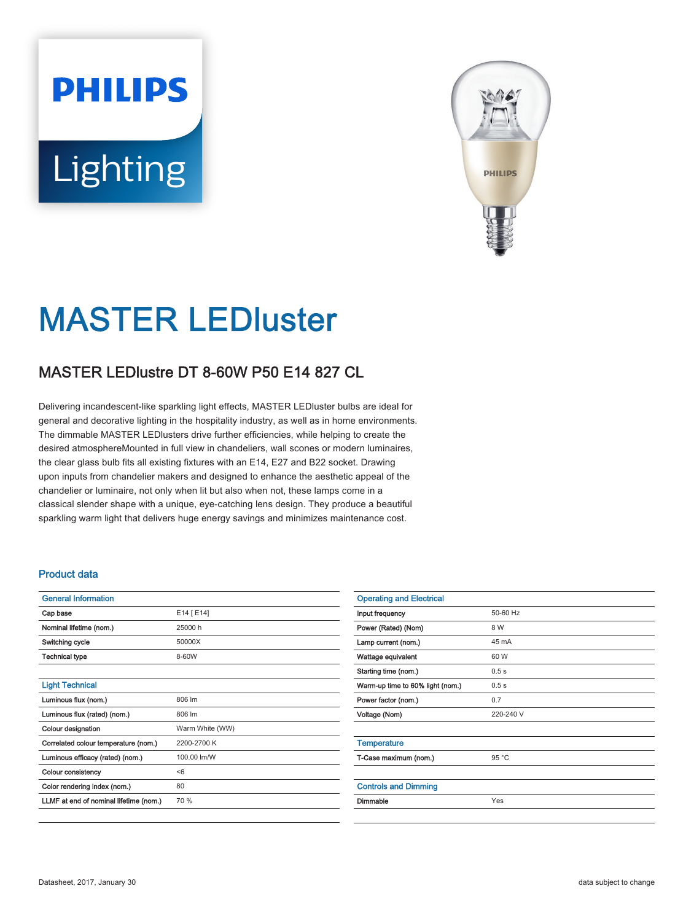# **PHILIPS** Lighting



# MASTER LEDluster

# MASTER LEDlustre DT 8-60W P50 E14 827 CL

Delivering incandescent-like sparkling light effects, MASTER LEDluster bulbs are ideal for general and decorative lighting in the hospitality industry, as well as in home environments. The dimmable MASTER LEDlusters drive further efficiencies, while helping to create the desired atmosphereMounted in full view in chandeliers, wall scones or modern luminaires, the clear glass bulb fits all existing fixtures with an E14, E27 and B22 socket. Drawing upon inputs from chandelier makers and designed to enhance the aesthetic appeal of the chandelier or luminaire, not only when lit but also when not, these lamps come in a classical slender shape with a unique, eye-catching lens design. They produce a beautiful sparkling warm light that delivers huge energy savings and minimizes maintenance cost.

#### Product data

| <b>General Information</b>             |                 |
|----------------------------------------|-----------------|
| Cap base                               | E14 [ E14]      |
| Nominal lifetime (nom.)                | 25000 h         |
| Switching cycle                        | 50000X          |
| Technical type                         | 8-60W           |
|                                        |                 |
| <b>Light Technical</b>                 |                 |
| Luminous flux (nom.)                   | 806 lm          |
| Luminous flux (rated) (nom.)           | 806 lm          |
| <b>Colour designation</b>              | Warm White (WW) |
| Correlated colour temperature (nom.)   | 2200-2700 K     |
| Luminous efficacy (rated) (nom.)       | 100.00 lm/W     |
| Colour consistency                     | < 6             |
| Color rendering index (nom.)           | 80              |
| LLMF at end of nominal lifetime (nom.) | 70 %            |
|                                        |                 |

| <b>Operating and Electrical</b>  |           |  |
|----------------------------------|-----------|--|
| Input frequency                  | 50-60 Hz  |  |
| Power (Rated) (Nom)              | 8 W       |  |
| Lamp current (nom.)              | 45 mA     |  |
| Wattage equivalent               | 60 W      |  |
| Starting time (nom.)             | 0.5s      |  |
| Warm-up time to 60% light (nom.) | 0.5s      |  |
| Power factor (nom.)              | 0.7       |  |
| Voltage (Nom)                    | 220-240 V |  |
|                                  |           |  |
| <b>Temperature</b>               |           |  |
| T-Case maximum (nom.)            | 95 °C     |  |
|                                  |           |  |
| <b>Controls and Dimming</b>      |           |  |
| <b>Dimmable</b>                  | Yes       |  |
|                                  |           |  |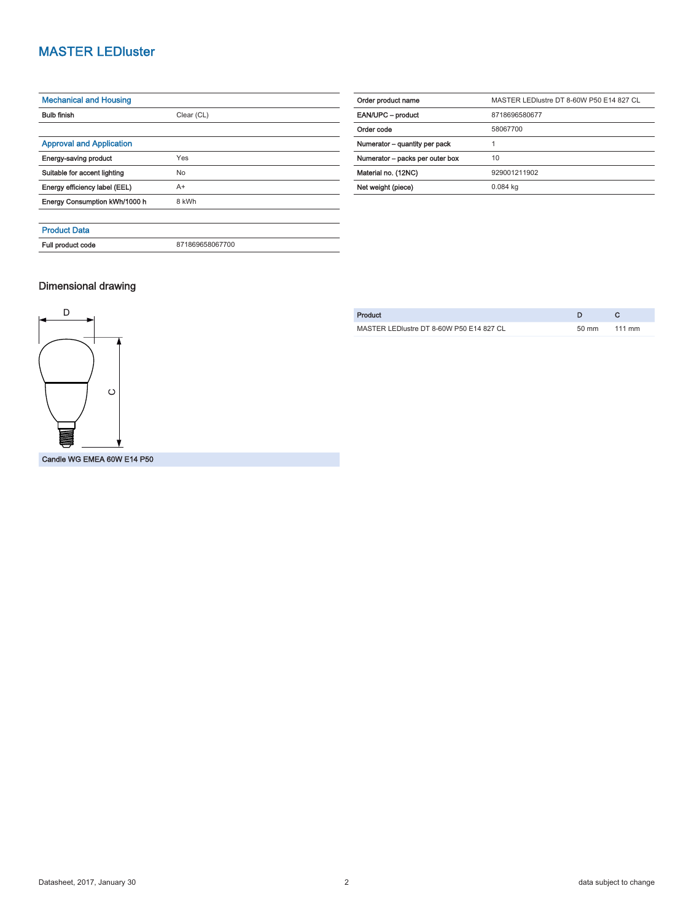## MASTER LEDluster

| <b>Mechanical and Housing</b>   |                 |  |
|---------------------------------|-----------------|--|
| <b>Bulb finish</b>              | Clear (CL)      |  |
|                                 |                 |  |
| <b>Approval and Application</b> |                 |  |
| Energy-saving product           | Yes             |  |
| Suitable for accent lighting    | No              |  |
| Energy efficiency label (EEL)   | $A+$            |  |
| Energy Consumption kWh/1000 h   | 8 kWh           |  |
|                                 |                 |  |
| <b>Product Data</b>             |                 |  |
| Full product code               | 871869658067700 |  |

| Order product name              | MASTER LEDIustre DT 8-60W P50 E14 827 CL |  |  |
|---------------------------------|------------------------------------------|--|--|
| EAN/UPC - product               | 8718696580677                            |  |  |
| Order code                      | 58067700                                 |  |  |
| Numerator - quantity per pack   | 1<br>10<br>929001211902                  |  |  |
| Numerator - packs per outer box |                                          |  |  |
| Material no. (12NC)             |                                          |  |  |
| Net weight (piece)              | 0.084 kg                                 |  |  |

#### Dimensional drawing



| Product                                  |                 |                  |
|------------------------------------------|-----------------|------------------|
| MASTER LEDIustre DT 8-60W P50 E14 827 CL | $50 \text{ mm}$ | $111 \text{ mm}$ |
|                                          |                 |                  |

Candle WG EMEA 60W E14 P50